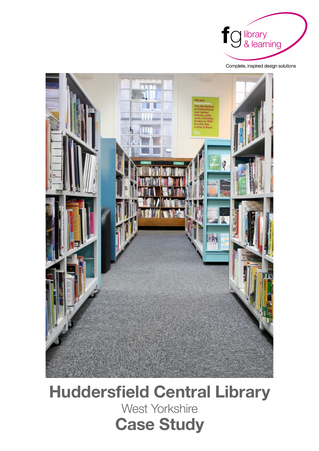

Complete, inspired design solutions



## Huddersfield Central Library West Yorkshire Case Study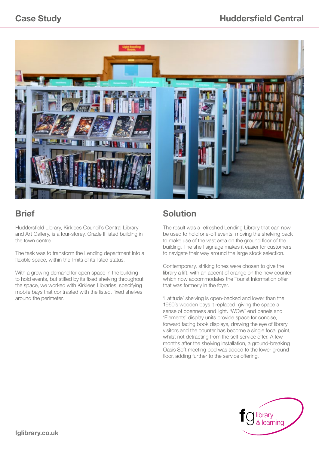

## **Brief**

Huddersfield Library, Kirklees Council's Central Library and Art Gallery, is a four-storey, Grade II listed building in the town centre.

The task was to transform the Lending department into a flexible space, within the limits of its listed status.

With a growing demand for open space in the building to hold events, but stifled by its fixed shelving throughout the space, we worked with Kirklees Libraries, specifying mobile bays that contrasted with the listed, fixed shelves around the perimeter.

## Solution

The result was a refreshed Lending Library that can now be used to hold one-off events, moving the shelving back to make use of the vast area on the ground floor of the building. The shelf signage makes it easier for customers to navigate their way around the large stock selection.

Contemporary, striking tones were chosen to give the library a lift, with an accent of orange on the new counter, which now accommodates the Tourist Information offer that was formerly in the foyer.

'Latitude' shelving is open-backed and lower than the 1960's wooden bays it replaced, giving the space a sense of openness and light. 'WOW' end panels and 'Elements' display units provide space for concise, forward facing book displays, drawing the eye of library visitors and the counter has become a single focal point, whilst not detracting from the self-service offer. A few months after the shelving installation, a ground-breaking Oasis Soft meeting pod was added to the lower ground floor, adding further to the service offering.

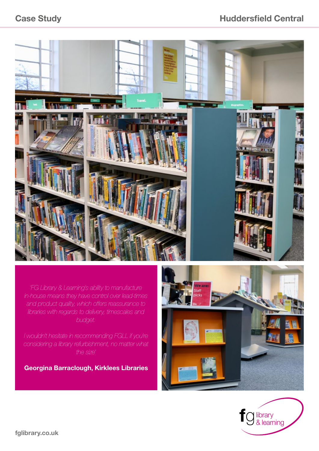

*'FG Library & Learning's ability to manufacture in-house means they have control over lead-times and product quality, which offers reassurance to libraries with regards to delivery, timescales and budget.* 

*I wouldn't hesitate in recommending FGLL if you're considering a library refurbishment, no matter what the size'* 

Georgina Barraclough, Kirklees Libraries



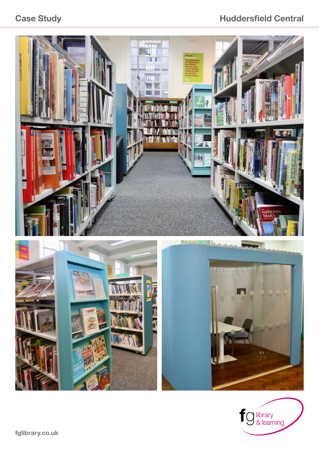## Case Study **Case Study Case Study Case Study Huddersfield Central**



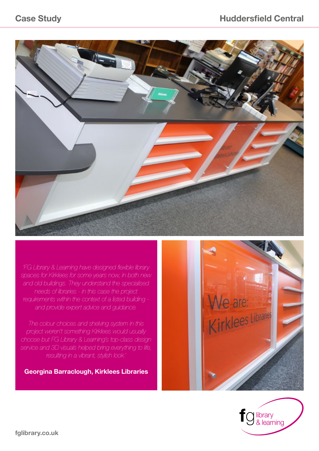

*'FG Library & Learning have designed flexible library spaces for Kirklees for some years now, in both new and old buildings. They understand the specialised needs of libraries - in this case the project requirements within the context of a listed building and provide expert advice and guidance.* 

*The colour choices and shelving system in this project weren't something Kirklees would usually choose but FG Library & Learning's top-class design service and 3D visuals helped bring everything to life, resulting in a vibrant, stylish look.'* 

Georgina Barraclough, Kirklees Libraries